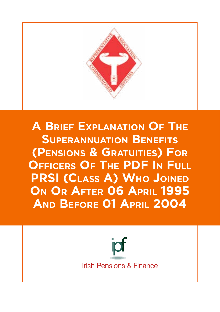

**A Brief Explanation Of The Superannuation Benefits (Pensions & Gratuities) For Officers Of The PDF In Full PRSI (Class A) Who Joined On Or After 06 April 1995 And Before 01 April 2004** 

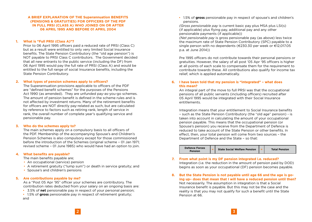# **A BRIEF EXPLANATION OF THE Superannuation BENEFITS (PENSIONS & GRATUITIES) FOR OFFICERS OF THE PDF IN FULL PRSI (CLASS A) WHO JOINED ON OR AFTER 06 APRIL 1995 AND BEFORE 01 APRIL 2004**

### **1. What is "Full PRSI (Class A)"?**

Prior to 06 April 1995 officers paid a reduced rate of PRSI (Class C) but as a result were entitled to only very limited Social Insurance benefits. The State Pension Contributory (the "old age pension") is NOT payable to PRSI Class C contributors. The Government decided that all new entrants to the public service (including the DF) from 06 April 1995 would pay the full rate of PRSI (Class A) and would be entitled to the full range of social Insurance benefits, including the State Pension Contributory.

#### **2. What types of pension schemes apply to officers?**

The Superannuation provisions applicable to officers of the PDF are "defined benefit schemes" for the purposes of the Pensions Act 1990 (as amended). They are unfunded pay-as-you-go schemes. The amount of pension benefit is defined in the scheme rules and is not affected by investment returns. Many of the retirement benefits for officers are NOT directly pay-related as such, but are calculated by reference to factors such as retiring rank, length of service in rank, the overall number of complete year's qualifying service and pensionable pay.

### **3. Who do the schemes apply to?**

The main schemes apply on a compulsory basis to all officers of the PDF. Membership of the accompanying Spouse's and Children's Pension Schemes is also compulsory except for those commissioned before the introduction of the Schemes (original scheme – 01 Jan 1971; revised scheme – 01 June 1985) who would have had an option to join.

### **4. What benefits are payable?**

The main benefits payable are;

- An occupational (service) pension
- A retirement gratuity ("lump sum") or death in service gratuity; and
- Spouse's and children's pensions

### **5. Are contributions payable by me?**

As a "Post 05 Apr '95" officer your schemes are contributory. The contribution rates deducted from your salary on an ongoing basis are:

- 3.5% of **net** pensionable pay in respect of your personal pension;
- 1.5% of **gross** pensionable pay in respect of retirement gratuity; and

• 1.5% of **gross** pensionable pay in respect of spouse's and children's pensions.

*(Gross pensionable pay* is current basic pay plus MSA plus LSI(s) (if applicable) plus flying pay, additional pay and any other pensionable payments (if applicable))

*(Net pensionable pay* is gross pensionable pay (as above) less twice the maximum rate of State Pension Contributory (SPC) payable to a single person with no dependents (€230.30 per week or €12,017.05 p.a. at June 2014))

Pre 1995 officers do not contribute towards their personal pensions or gratuities. However, the salary of all post '05 Apr '95 officers is higher at all points of each scale to compensate them for the requirement to contribute towards these. All contributions also qualify for income tax relief, which is applied automatically.

# **6. I have been told that my pension is "integrated" – what does this mean?**

An integral part of the move to full PRSI was that the occupational pensions of all public servants (including officers) recruited after 05 April 1995 would be integrated with their Social Insurance entitlements.

Integration means that your entitlement to Social Insurance benefits – such as the State Pension Contributory (the "old age" pension) - is taken into account in calculating the amount of your occupational pension payable. This means that the occupational pension (or Spouse's pension) you receive from the Department of Defence is reduced to take account of the State Pension or other benefits. In effect, then, your total pension will come from two sources – the Department of Defence and the State – so that:



- **7. From what point is my DF pension integrated i.e. reduced?** Integration (i.e. the reduction in the amount of pension paid by DOD) begins as soon as your occupational (DF) pension becomes payable.
- **8. But the State Pension is not payable until age 66 and the age is going up– does that mean that I will have a reduced pension until then?** Not necessarily. The assumption in integration is that a Social Insurance benefit is payable. But this may not be the case and the reality is that you may not qualify for such a benefit until the State Pension at 66.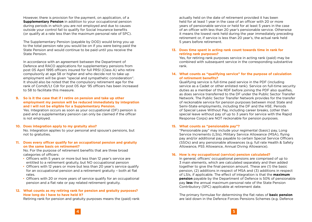However, there is provision for the payment, on application, of a **Supplementary Pension** in addition to your occupational pension during periods in which you are not employed and due to causes outside your control fail to qualify for Social Insurance benefits (or qualify at a rate less than the maximum personal rate of SPC).

The Supplementary Pension (payable by DOD) would bring you up to the total pension rate you would be on if you were being paid the State Pension and would continue to be paid until you receive the State Pension.

In accordance with an agreement between the Department of Defence and RACO applications for supplementary pensions from post 05 April 1995 officers insured for full PRSI (Class A) who retire compulsorily at age 58 or higher and who decide not to take up employment will be given "special and sympathetic consideration". It should also be noted that the compulsory retirement age for the rank of Comdt/Lt Cdr for post 05 Apr '95 officers has been increased to 58 to facilitate this measure.

### **9. So is it the case that if I retire on pension and take up other employment my pension will be reduced immediately by integration and I will not be eligible for a Supplementary Pension.**

Yes. Integration occurs as soon as your occupational (DF) pension is paid and a supplementary pension can only be claimed if the officer is not employed.

#### **10. Does integration apply to my gratuity also?**

No. Integration applies to your personal and spouse's pensions, but not to gratuities.

# **11. Does every officer qualify for an occupational pension and gratuity on the same basis on retirement?**

No. For the purpose of retirement benefits that are three broad categories of officers:

- Officers with 5 years or more but less than 12 year's service are entitled to a retirement gratuity, but NO occupational pension
- Officers with 12 years or more but less than 20 year's service qualify for an occupational pension and a retirement gratuity – both at flat rates.
- Officers with 20 or more years of service qualify for an occupational pension and a flat rate or pay related retirement gratuity.

# **12. What counts as my retiring rank for pension and gratuity purposes? How long do I have to have held it?**

Retiring rank for pension and gratuity purposes means the (paid) rank

actually held on the date of retirement provided it has been held for at least 1 year in the case of an officer with 20 or more years of pensionable service or held for at least 5 years in the case of an officer with less than 20 year's pensionable service. Otherwise it means the lowest rank held during the year immediately preceding retirement or, if service is less than 20 year's, the actual rank held 5 years before retirement.

# **13. Does time spent in acting rank count towards time in rank for retiring rank purposes?**

Yes, for retiring rank purposes service in acting rank (paid) may be combined with subsequent service in the corresponding substantive rank.

# **14. What counts as "qualifying service" for the purpose of calculation of retirement benefits?**

Qualifying service is full-time paid service in the PDF (including service as a Cadet or other enlisted rank). Service on full-time security duties as a member of the RDF before joining the PDF also qualifies, as does service transferred to the DF under the Public Sector Transfer Network. The Public Sector Transfer Network provides for the transfer of reckonable service for pension purposes between most State and Semi-State employments, including the DF and the HSE. Periods of Special Leave Without Pay, including career breaks, (other than special leave without pay of up to 3 years for service with the Rapid Response Corps) are NOT reckonable for pension purposes.

# **15. What counts as "pensionable pay"?**

"Pensionable pay" may include your regimental (basic) pay, Long Service Increments (LSIs), Military Service Allowance (MSA), flying pay and/or additional pay payable to certain Special Service Officers (SSOs) and any pensionable allowances (e.g. full rate Health & Safety Allowance, PSS Allowance, Annual Diving Allowance).

# **16. How is my occupational (service) pension calculated?**

In general, officers' occupational pensions are comprised of up to 3 main elements, which are calculated separately and then added together to give the final pension amount. These are (1) the basic pension, (2) additions in respect of MSA and (3) additions in respect of LSIs, if applicable. The effect of integration is that the **maximum pension** payable by the Department of Defence is 50% of pensionable pay **less** the annual maximum personal rate of the State Pension Contributory (SPC) applicable at retirement date.

The primary formulae for determining the flat rates of **basic pension**  are laid down in the Defence Forces Pensions Schemes (e.g. Defence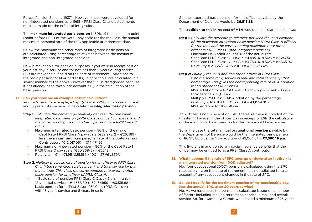Forces Pension Scheme 1937). However, these were developed for non-integrated pensions (pre 1995 – PRSI Class C) and adjustments must be made for the effect of integration.

The **maximum integrated basic pension** is 50% of the maximum point (point before LSI 1) of the Rate 1 pay scale for the rank less the annual maximum personal rate of the SPC applicable at retirement date.

Below the maximum the other rates of integrated basic pension are calculated using percentage relativities between the maximum integrated and non-integrated pensions.

MSA is reckonable for pension purposes if you were in receipt of it on your last day in service and for not less than 5 years during service. LSIs are reckonable if held on the date of retirement. Additions to the basic pension for MSA and LSI(s), if applicable, are calculated in a similar manner to the above. However the SPC is disregarded because it has already been taken into account fully in the calculation of the basic pension.

### **17. Can you show me an example of that calculation?**

Yes. Let's take, for example, a Capt (Class A PRSI) with 5 years in rank and 13 years total service. To calculate the **integrated basic pension**

- **Step 1:** *Calculate the percentage relativity between the maximum integrated basic pension (PRSI Class A officer) for the rank and the corresponding maximum basic pension for a PRSI Class C officer.*
	- Maximum integrated basic pension = 50% of the max of Capt Rate 1 PRSI Class A pay scale ( $\epsilon$ 52.978/2 =  $\epsilon$ 26.489) less the annual maximum personal rate of the State Pension Contributory (€12,017.05) = €14,471.95
	- Maximum non-integrated pension = 50% of the Capt Rate 1 PRSI Class C pay scale ( $\text{\textsterling}50.368/2$ ) =  $\text{\textsterling}25.184$
	- Relativity = €14,471.95/€25,184 x 100 = *57.464859%*
- **Step 2**: *Multiply the basic rate of pension for an officer in PRSI Class C with the same rank, service in rank and total service by that percentage. This gives the corresponding rate of integrated basic pension for an officer of PRSI Class A.*
	- = Basic rate of pension PRSI Class C Capt 5 yrs in rank 13 yrs total service = €11,338.89 x .57464859 = €6,515.88 = basic pension for a "Post 5 Apr '95" Capt (PRSI Class A) with 13 year's service and 5 years in rank.

So, the integrated basic pension for this officer, payable by the Department of Defence, would be **€6,515.88** 

#### The **addition to this in respect of MSA** would be calculated as follows:

- **Step 1:** *Calculate the percentage relativity between the MSA element of the maximum integrated basic pension (PRSI Class A officer) for the rank and the corresponding maximum total for an officer in PRSI Class C (non-integrated pension).*
	- Maximum MSA addition is 50% of the actual rate.
	- Capt Rate 1 PRSI Class C MSA = €4,495.00 x 50% = €2,247.50
	- Capt Rate 1 PRSI Class A MSA = €4,730.00 x 50% = €2,365.00
	- Relativity = 2,365/2,247.5 x 100 = *105.228031%*

**Step 2:** *Multiply the MSA addition for an officer in PRSI Class C with the same rank, service in rank and total service by that percentage. This gives the corresponding rate of MSA addition for an officer of PRSI Class A.*

- MSA addition for a PRSI Class C Capt 5 yrs in rank 13 yrs total service =  $\in$ 1.011.43.
- Multiply PRSI Class C MSA addition by the percentage relativity = €1,011.43 x 1.05228031 = **€1,064.31** = MSA Addition for this officer

This officer is not in receipt of LSIs. Therefore there is no addition for this item. However, if the officer was in receipt of LSIs the calculation of the addition to basic pension for this item would be as above.

So, in the case the **total annual occupational pension** payable by the Department of Defence would be the integrated basic pension of €6,515.88 plus the MSA addition of €1,064.31, = **€7,580.19 p.a.**

This figure is in addition to any social insurance benefits that the officer may be entitled to as a PRSI Class A contributor.

# **18. What happens if the rate of SPC goes up or down after I retire – is my integrated pension from DOD adjusted?**

No. Your occupational (DOD) pension is calculated using the SPC rates applying on the date of retirement. It is not adjusted to take account of any subsequent changes in the rate of SPC.

# **19. So, do I qualify for the maximum pension of my pensionable pay, less the annual SPC, after 20 years service?**

No. As we have seen, the pension is calculated based on a number of factors including rank on retirement, service in rank and overall service. So, for example, a Comdt would need a minimum of 23 year's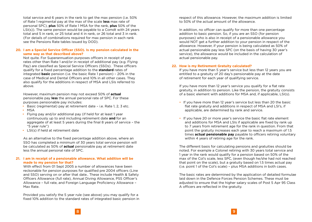total service and 6 years in the rank to get the max pension (i.e. 50% of Rate 1 regimental pay at the max of the scale **less** max rate of personal SPC), **plus** 50% of Rate 1 MSA for the rank, **plus** 50% of the LSI(s)). The same pension would be payable to a Comdt with 24 years total and 5 in rank, or 25 total and 4 in rank, or 26 total and 3 in rank. (For details of combinations required for max pension in each rank see the Pensions Rate tables issued by DOD).

# **20. I am a Special Service Officer (SSO). Is my pension calculated in the same way as that described above?**

Not quite. For Superannuation purposes officers in receipt of pay rates other than Rate 1 and/or in receipt of additional pay (e.g. Flying Pay) are classified as Special Service Officers (SSOs). These officers qualify for a fixed percentage addition to the **standard** rates of integrated **basic** pension (i.e. the basic Rate 1 pension) – 20% in the case of Medical and Dental Officers and 10% in all other cases. They also qualify for the additions in respect of MSA and LSIs referred to above.

However, maximum pension may not exceed 50% of **actual** pensionable pay **less** the annual personal rate of SPC. For these purposes pensionable pay includes:

- Basic (regimental) pay at retirement date i.e. Rate 1, 2, 3 etc. • MSA
- Flying pay and/or additional pay (if held for at least 1 year continuously up to and including retirement date **and** for an aggregate of at least 5 years during the final 8 years of service – the "5 year rule")
- LSI(s) if held at retirement date

As an alternative to the fixed percentage addition above, where an SSO has completed a minimum of 30 years total service pension will be calculated as 50% of **actual** pensionable pay at retirement date less the annual personal rate of SPC.

# **21. I am in receipt of a pensionable allowance. What addition will be made to my pension for that?**

With effect from 01 Sept 2005 a number of allowances have been reckonable for pension purposes for qualified pre 2004 officers (Line and SSO) serving on or after that date.. These include Health & Safety Officers Allowance (full rate), Annual Diving Allowance, PSS Officer's Allowance – full rate, and Foreign Language Proficiency Allowance – Max Rate.

Provided you satisfy the 5 year rule (see above) you may qualify for a fixed 10% addition to the standard rates of integrated basic pension in respect of this allowance. However, the maximum addition is limited to 50% of the actual amount of the allowance.

In addition, no officer can qualify for more than one percentage addition to basic pension. So, if you are an SSO (for pension purposes) who is also in receipt of a pensionable allowance you would NOT get a further addition to your pension in respect of the allowance. However, if your pension is being calculated as 50% of actual pensionable pay less SPC (on the basis of having 30 year's service), the allowance would be included in the calculation of actual pensionable pay.

# **22. How is my Retirement Gratuity calculated?**

If you have more than 5 year's service but less than 12 years you are entitled to a gratuity of 20 day's pensionable pay at the date of retirement for each year of qualifying service.

If you have more than 12 year's service you qualify for a flat rate gratuity, in addition to pension. Like the pension, the gratuity consists of a basic element with additions for MSA and, if applicable, LSI(s).

- If you have more than 12 year's service but less than 20 the basic flat rate gratuity and additions in respect of MSA and LSI's, if applicable, are determined by rank and service.
- If you have 20 or more year's service the basic flat rate element and additions for MSA and LSIs if applicable are fixed by rank up to 7 years from retirement age for the rank in question. From that point the gratuity increases each year to reach a maximum of 1.5 times **actual pensionable pay** payable to officers retiring voluntary within 4 years of retiring age for the rank.

The different basis for calculating pensions and gratuities should be noted. For example a Colonel retiring with 30 years total service and 1 year in the rank would qualify for a pension based on 50% of the max of the Col's scale, less SPC, (even though he/she had not reached that point on the scale), but a gratuity based on 1.5 times actual pay (i.e. point 1 of the Col's scale) – plus MSA additions in both cases.

The basic rates are determined by the application of detailed formulae laid down in the Defence Forces Pension Schemes. These must be adjusted to ensure that the higher salary scales of Post 5 Apr 95 Class A officers are reflected in the gratuity.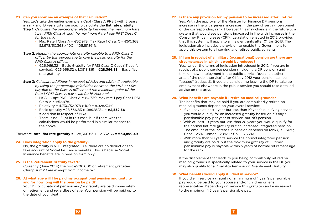#### **23. Can you show me an example of that calculation?**

Yes. Let's take the earlier example a Capt (Class A PRSI) with 5 years in rank and 13 years total service. To calculate the **flat rate gratuity:**

- **Step 1:** *Calculate the percentage relativity between the maximum Rate 1 pay PRSI Class A and the maximum Rate 1 pay PRSI Class C for the rank.*
	- Max Rate 1 Class A =  $\epsilon$ 52,978; Max Rate 1 Class C =  $\epsilon$ 50,368; 52,978/50,368 x 100 = 105.181861%.
- **Step 2:** *Multiply the appropriate gratuity payable to a PRSI Class C officer by this percentage to give the basic gratuity for the PRSI Class A officer.*
	- €26,969.32 = Basic Gratuity for PRSI Class C Capt (13 year's service). €26,969.32 x 1.05181861 = **€28,366.83** = Basic flat rate gratuity
- **Step 3:** *Calculate additions in respect of MSA and LSI(s), if applicable, by using the percentage relativities between the MSA or LSIs payable to the Class A officer and the maximum point of the Rate 1 PRSI Class A pay scale for his/her rank.*
	- MSA Capt PRSI Class A =  $\in$ 4.730; Max rate 1 pay Capt PRSI Class A =  $\text{\textsterling}52.978$ .
	- Relativity = 4,730/52,978 x 100 = 8.928234%
	- Basic gratuity €28,366.83 x .08928234 = **€2,532.66** = addition in respect of MSA
	- There is no LSI(s) in this case, but if there was the calculations would be performed in a similar manner to the above

Therefore, **total flat rate gratuity** = €28,366.83 + €2,532.66 = **€30,899.49**

# **24. Does integration apply to the gratuity?**

No, the gratuity is NOT integrated – i.e. there are no deductions to take account of Social Insurance benefits. This is because Social Insurance benefits are in pension form only.

# **25. Is the Retirement Gratuity taxed?**

Currently (June 2014) the first €200,000 of retirement gratuities ("lump sums") are exempt from income tax.

# **26. At what age will I be paid my occupational pension and gratuity and for how long will the pension be paid?**

Your DF occupational pension and/or gratuity are paid immediately on retirement and regardless of age. Your pension will be paid up to the date of your death.

# **27. Is there any provision for my pension to be increased after I retire?**

Yes. With the approval of the Minister for Finance DF pensions increase in line with general increases in the pay of serving personnel of the corresponding rank. However, this may change in the future to a system that would see pensions increased in line with increases in the Consumer Price Increase (CPI). Legislation enacted in 2012 provides that this system will apply to all new entrants after 01 Jan 2013. The legislation also includes a provision to enable the Government to apply this system to all serving and retired public servants.

# **28. If I am in receipt of a military (occupational) pension are there any circumstances in which it would be reduced?**

Yes. Under the terms of legislation introduced in 2012 if you are in receipt of a public service pension (including a DF pension) and take up new employment in the public service (even in another area of the public service) after 01 Nov 2012 your pension can be "abated" (reduced). If you are considering leaving the DF to take up employment elsewhere in the public service you should take detailed advise on this area.

# **29. What benefits are payable if I retire on medical grounds?**

The benefits that may be paid if you are compulsorily retired on medical grounds depend on your overall service:

- If you have at least 1 year but less than 10 year's qualifying service you would qualify for an increased gratuity based on 30 day's pensionable pay per year of service, but NO pension.
- With at least 10 years but less than 20 years you would qualify for the normal flat rate gratuity but an increased integrated pension. The amount of the increase in pension depends on rank (Lt – 50%; Capt – 25%; Comdt – 20%; Lt Co – 16.66%)
- With more than 20 year's service the normal integrated pension and gratuity are paid, but the maximum gratuity of 1.5 times pensionable pay is payable within 5 years of normal retirement age for the rank.

If the disablement that leads to you being compulsorily retired on medical grounds is specifically related to your service in the DF you may also qualify for a Disability Pension or Disablement Gratuity.

# **30. What benefits would apply if I died in service?**

If you die in service a gratuity of a minimum of 1 year's pensionable pay would be paid to your spouse and/or children or legal representative. Depending on service this gratuity can be increased to the maximum 1.5 year's pensionable pay.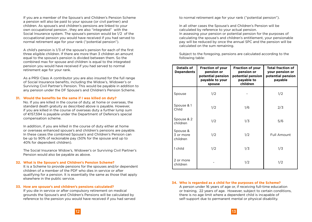If you are a member of the Spouse's and Children's Pension Scheme a pension will also be paid to your spouse (or civil partner) and children. As spouse's and children's pensions are linked to your own occupational pension , they are also "integrated" with the Social Insurance system. The spouse's pension would be 1/2 of the occupational pension you would have received if you had served to normal retirement age for your rank ("potential pension").

A child's pension is 1/3 of the spouse's pension for each of the first three eligible children. If there are more than 3 children an amount equal to the spouse's pension is divided between them. So the combined max for spouse and children is equal to the integrated pension you would have received if you had served to normal retirement age for your rank.

As a PRSI Class A contributor you are also insured for the full range of Social Insurance benefits, including the Widow's, Widower's or Surviving Civil Partner's Pension. This would be payable in addition to any pension under the DF Spouse's and Children's Pension Scheme.

#### **31. Would the benefits be the same if I was killed on duty?**

No. If you are killed in the course of duty, at home or overseas, the standard death gratuity as described above is payable. However, if you are killed in the course of overseas duty a further lump sum of €157,594 is payable under the Department of Defence's special compensation scheme.

In addition, if you are killed in the course of duty either at home or overseas enhanced spouse's and children's pensions are payable. In these cases the combined Spouse's and Children's Pension can be up to 90% of reckonable pay (50% for the spouse and up to 40% for dependent children).

The Social Insurance Widow's, Widower's or Surviving Civil Partner's Pension would also be payable as above.

#### **32. What is the Spouse's and Children's Pension Scheme?**

It is a Scheme to provide pensions for the spouses and/or dependent children of a member of the PDF who dies in service or after qualifying for a pension. It is essentially the same as those that apply elsewhere in the public service.

#### **33. How are spouse's and children's pensions calculated?**

If you die in service or after compulsory retirement on medical grounds the Spouse's and Children's Pensions will be calculated by reference to the pension you would have received if you had served to normal retirement age for your rank ("potential pension").

In all other cases the Spouse's and Children's Pension will be calculated by reference to your actual pension.

In assessing your pension or potential pension for the purposes of calculating the spouse's and children's entitlement, your pensionable pay will be reduced by once the annual SPC and the pension will be calculated on the sum remaining.

Subject to the foregoing, pensions are calculated according to the following table:

| Details of<br><b>Dependents</b>   | <b>Fraction of your</b><br>pension or<br>potential pension<br>payable to your<br>spouse | <b>Fraction of your</b><br>pension or<br>potential pension<br>payable to<br>children | <b>Total fraction of</b><br>your pension or<br>potential pension<br>payable |
|-----------------------------------|-----------------------------------------------------------------------------------------|--------------------------------------------------------------------------------------|-----------------------------------------------------------------------------|
| Spouse                            | 1/2                                                                                     |                                                                                      | 1/2                                                                         |
| Spouse & 1<br>Child               | 1/2                                                                                     | 1/6                                                                                  | 2/3                                                                         |
| Spouse & 2<br>children            | 1/2                                                                                     | 1/3                                                                                  | 5/6                                                                         |
| Spouse &<br>3 or more<br>children | 1/2                                                                                     | 1/2                                                                                  | Full Amount                                                                 |
| 1 child                           | 1/2                                                                                     | 1/3                                                                                  | 1/3                                                                         |
| 2 or more<br>children             |                                                                                         | 1/2                                                                                  | 1/2                                                                         |

#### **34. Who is regarded as a child for the purposes of the Scheme?**

A person under 16 years of age or, if receiving full-time education or training, 22 years of age. However, subject to certain conditions, there is no age limit where a dependent child is incapable of self-support due to permanent mental or physical disability.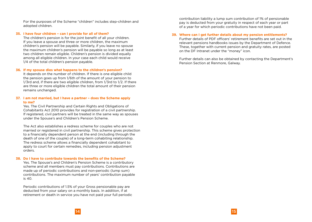For the purposes of the Scheme "children" includes step-children and adopted children.

#### **35. I have four children – can I provide for all of them?**

The children's pension is for the joint benefit of all your children. If you leave a spouse and three or more children, the maximum children's pension will be payable. Similarly, if you leave no spouse the maximum children's pension will be payable so long as at least two children remain eligible. Children's pension is divided equally among all eligible children. In your case each child would receive 1/4 of the total children's pension payable.

#### **36. If my spouse dies what happens to the children's pension?**

It depends on the number of children. If there is one eligible child the pension goes up from 1/6th of the amount of your pension to 1/3rd and, if there are two eligible children, from 1/3rd to 1/2. If there are three or more eligible children the total amount of their pension remains unchanged.

#### **37. I am not married, but I have a partner – does the Scheme apply to me?**

Yes. The Civil Partnership and Certain Rights and Obligations of Cohabitants Act 2010 provides for registration of a civil partnership. If registered, civil partners will be treated in the same way as spouses under the Spouse's and Children's Pension Scheme.

The Act also establishes a redress scheme for couples who are not married or registered in civil partnership. This scheme gives protection to a financially dependent person at the end (including through the death of one of the couple) of a long-term cohabiting relationship. The redress scheme allows a financially dependent cohabitant to apply to court for certain remedies, including pension adjustment orders.

#### **38. Do I have to contribute towards the benefits of the Scheme?**

Yes. The Spouse's and Children's Pension Scheme is a contributory scheme and all members must pay contributions. Contributions are made up of periodic contributions and non-periodic (lump sum) contributions. The maximum number of years' contribution payable is 40.

Periodic contributions of 1.5% of your Gross pensionable pay are deducted from your salary on a monthly basis. In addition, if at retirement or death in service you have not paid your full periodic contribution liability a lump sum contribution of 1% of pensionable pay is deducted from your gratuity in respect of each year or part of a year for which periodic contributions have not been paid.

### **39. Where can I get further details about my pension entitlements?**

Further details of PDF officers' retirement benefits are set out in the relevant pensions handbooks issues by the Department of Defence. These, together with current pension and gratuity rates, are posted on the DF Intranet under the "money" icon.

Further details can also be obtained by contacting the Department's Pension Section at Renmore, Galway.